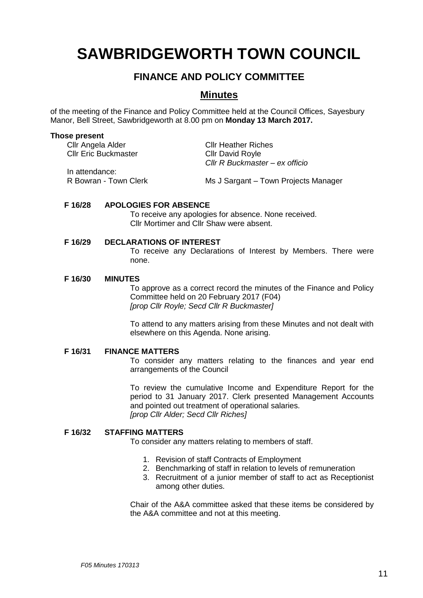# **SAWBRIDGEWORTH TOWN COUNCIL**

# **FINANCE AND POLICY COMMITTEE**

# **Minutes**

of the meeting of the Finance and Policy Committee held at the Council Offices, Sayesbury Manor, Bell Street, Sawbridgeworth at 8.00 pm on **Monday 13 March 2017.**

### **Those present**

| Cllr Angela Alder           | <b>Cllr Heather Riches</b>           |
|-----------------------------|--------------------------------------|
| <b>Cllr Eric Buckmaster</b> | <b>Cllr David Royle</b>              |
|                             | Cllr R Buckmaster – ex officio       |
| In attendance:              |                                      |
| R Bowran - Town Clerk       | Ms J Sargant – Town Projects Manager |

### **F 16/28 APOLOGIES FOR ABSENCE**

To receive any apologies for absence. None received. Cllr Mortimer and Cllr Shaw were absent.

# **F 16/29 DECLARATIONS OF INTEREST**

To receive any Declarations of Interest by Members. There were none.

### **F 16/30 MINUTES**

To approve as a correct record the minutes of the Finance and Policy Committee held on 20 February 2017 (F04) *[prop Cllr Royle; Secd Cllr R Buckmaster]*

To attend to any matters arising from these Minutes and not dealt with elsewhere on this Agenda. None arising.

#### **F 16/31 FINANCE MATTERS**

To consider any matters relating to the finances and year end arrangements of the Council

To review the cumulative Income and Expenditure Report for the period to 31 January 2017. Clerk presented Management Accounts and pointed out treatment of operational salaries. *[prop Cllr Alder; Secd Cllr Riches]*

# **F 16/32 STAFFING MATTERS**

To consider any matters relating to members of staff.

- 1. Revision of staff Contracts of Employment
- 2. Benchmarking of staff in relation to levels of remuneration
- 3. Recruitment of a junior member of staff to act as Receptionist among other duties.

Chair of the A&A committee asked that these items be considered by the A&A committee and not at this meeting.